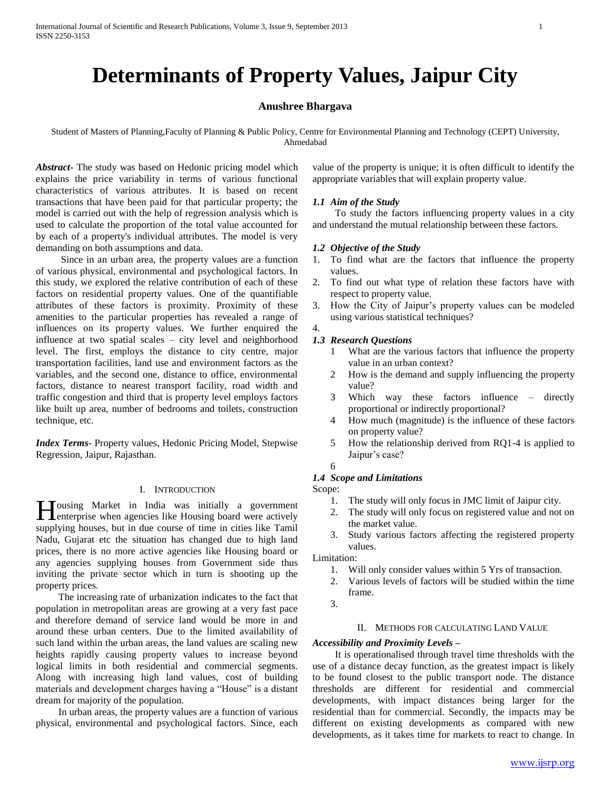# **Determinants of Property Values, Jaipur City**

# **Anushree Bhargava**

Student of Masters of Planning,Faculty of Planning & Public Policy, Centre for Environmental Planning and Technology (CEPT) University, Ahmedabad

*Abstract***-** The study was based on Hedonic pricing model which explains the price variability in terms of various functional characteristics of various attributes. It is based on recent transactions that have been paid for that particular property; the model is carried out with the help of regression analysis which is used to calculate the proportion of the total value accounted for by each of a property's individual attributes. The model is very demanding on both assumptions and data.

 Since in an urban area, the property values are a function of various physical, environmental and psychological factors. In this study, we explored the relative contribution of each of these factors on residential property values. One of the quantifiable attributes of these factors is proximity. Proximity of these amenities to the particular properties has revealed a range of influences on its property values. We further enquired the influence at two spatial scales – city level and neighborhood level. The first, employs the distance to city centre, major transportation facilities, land use and environment factors as the variables, and the second one, distance to office, environmental factors, distance to nearest transport facility, road width and traffic congestion and third that is property level employs factors like built up area, number of bedrooms and toilets, construction technique, etc.

*Index Terms*- Property values, Hedonic Pricing Model, Stepwise Regression, Jaipur, Rajasthan.

## I. INTRODUCTION

Tousing Market in India was initially a government Housing Market in India was initially a government enterprise when agencies like Housing board were actively supplying houses, but in due course of time in cities like Tamil Nadu, Gujarat etc the situation has changed due to high land prices, there is no more active agencies like Housing board or any agencies supplying houses from Government side thus inviting the private sector which in turn is shooting up the property prices.

 The increasing rate of urbanization indicates to the fact that population in metropolitan areas are growing at a very fast pace and therefore demand of service land would be more in and around these urban centers. Due to the limited availability of such land within the urban areas, the land values are scaling new heights rapidly causing property values to increase beyond logical limits in both residential and commercial segments. Along with increasing high land values, cost of building materials and development charges having a "House" is a distant dream for majority of the population.

 In urban areas, the property values are a function of various physical, environmental and psychological factors. Since, each

value of the property is unique; it is often difficult to identify the appropriate variables that will explain property value.

## *1.1 Aim of the Study*

 To study the factors influencing property values in a city and understand the mutual relationship between these factors.

## *1.2 Objective of the Study*

- 1. To find what are the factors that influence the property values.
- 2. To find out what type of relation these factors have with respect to property value.
- 3. How the City of Jaipur's property values can be modeled using various statistical techniques?

#### *1.3 Research Questions*

- 1 What are the various factors that influence the property value in an urban context?
- 2 How is the demand and supply influencing the property value?
- 3 Which way these factors influence directly proportional or indirectly proportional?
- 4 How much (magnitude) is the influence of these factors on property value?
- 5 How the relationship derived from RQ1-4 is applied to Jaipur's case?

# 6

4.

# *1.4 Scope and Limitations*

Scope:

- 1. The study will only focus in JMC limit of Jaipur city.
- 2. The study will only focus on registered value and not on the market value.
- 3. Study various factors affecting the registered property values.

Limitation:

- 1. Will only consider values within 5 Yrs of transaction.
- 2. Various levels of factors will be studied within the time frame.
- 3.

# II. METHODS FOR CALCULATING LAND VALUE

# *Accessibility and Proximity Levels –*

 It is operationalised through travel time thresholds with the use of a distance decay function, as the greatest impact is likely to be found closest to the public transport node. The distance thresholds are different for residential and commercial developments, with impact distances being larger for the residential than for commercial. Secondly, the impacts may be different on existing developments as compared with new developments, as it takes time for markets to react to change. In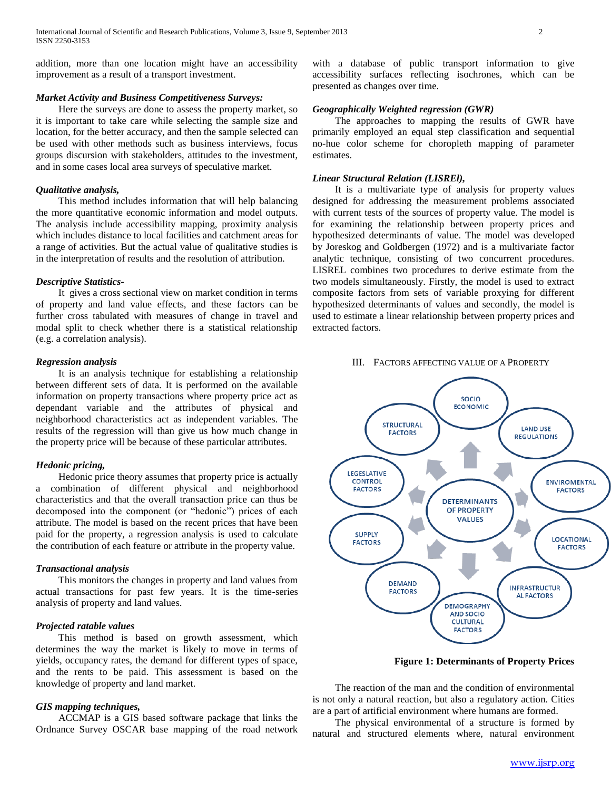addition, more than one location might have an accessibility improvement as a result of a transport investment.

# *Market Activity and Business Competitiveness Surveys:*

 Here the surveys are done to assess the property market, so it is important to take care while selecting the sample size and location, for the better accuracy, and then the sample selected can be used with other methods such as business interviews, focus groups discursion with stakeholders, attitudes to the investment, and in some cases local area surveys of speculative market.

#### *Qualitative analysis,*

 This method includes information that will help balancing the more quantitative economic information and model outputs. The analysis include accessibility mapping, proximity analysis which includes distance to local facilities and catchment areas for a range of activities. But the actual value of qualitative studies is in the interpretation of results and the resolution of attribution.

## *Descriptive Statistics-*

 It gives a cross sectional view on market condition in terms of property and land value effects, and these factors can be further cross tabulated with measures of change in travel and modal split to check whether there is a statistical relationship (e.g. a correlation analysis).

## *Regression analysis*

 It is an analysis technique for establishing a relationship between different sets of data. It is performed on the available information on property transactions where property price act as dependant variable and the attributes of physical and neighborhood characteristics act as independent variables. The results of the regression will than give us how much change in the property price will be because of these particular attributes.

## *Hedonic pricing,*

 Hedonic price theory assumes that property price is actually a combination of different physical and neighborhood characteristics and that the overall transaction price can thus be decomposed into the component (or "hedonic") prices of each attribute. The model is based on the recent prices that have been paid for the property, a regression analysis is used to calculate the contribution of each feature or attribute in the property value.

#### *Transactional analysis*

 This monitors the changes in property and land values from actual transactions for past few years. It is the time-series analysis of property and land values.

## *Projected ratable values*

 This method is based on growth assessment, which determines the way the market is likely to move in terms of yields, occupancy rates, the demand for different types of space, and the rents to be paid. This assessment is based on the knowledge of property and land market.

## *GIS mapping techniques,*

 ACCMAP is a GIS based software package that links the Ordnance Survey OSCAR base mapping of the road network

with a database of public transport information to give accessibility surfaces reflecting isochrones, which can be presented as changes over time.

# *Geographically Weighted regression (GWR)*

 The approaches to mapping the results of GWR have primarily employed an equal step classification and sequential no-hue color scheme for choropleth mapping of parameter estimates.

#### *Linear Structural Relation (LISREl),*

 It is a multivariate type of analysis for property values designed for addressing the measurement problems associated with current tests of the sources of property value. The model is for examining the relationship between property prices and hypothesized determinants of value. The model was developed by Joreskog and Goldbergen (1972) and is a multivariate factor analytic technique, consisting of two concurrent procedures. LISREL combines two procedures to derive estimate from the two models simultaneously. Firstly, the model is used to extract composite factors from sets of variable proxying for different hypothesized determinants of values and secondly, the model is used to estimate a linear relationship between property prices and extracted factors.

III. FACTORS AFFECTING VALUE OF A PROPERTY



**Figure 1: Determinants of Property Prices**

 The reaction of the man and the condition of environmental is not only a natural reaction, but also a regulatory action. Cities are a part of artificial environment where humans are formed.

 The physical environmental of a structure is formed by natural and structured elements where, natural environment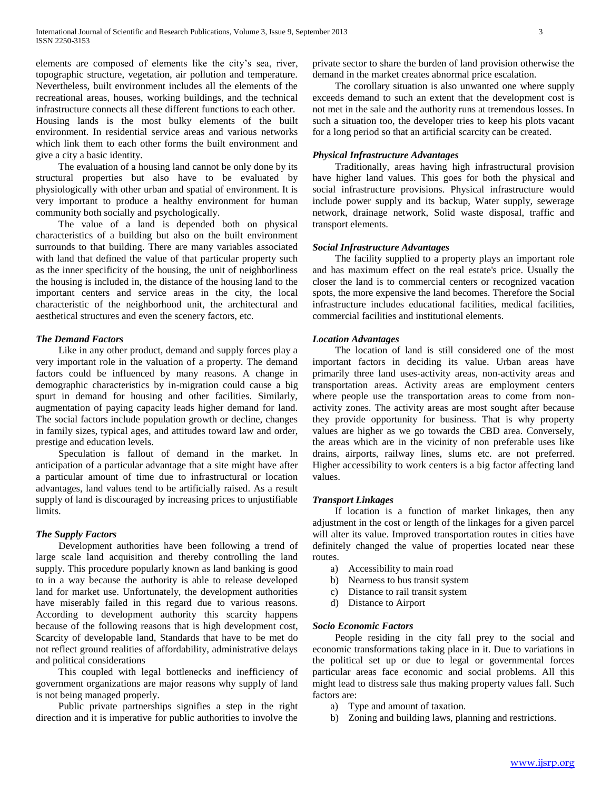elements are composed of elements like the city's sea, river, topographic structure, vegetation, air pollution and temperature. Nevertheless, built environment includes all the elements of the recreational areas, houses, working buildings, and the technical infrastructure connects all these different functions to each other. Housing lands is the most bulky elements of the built environment. In residential service areas and various networks which link them to each other forms the built environment and give a city a basic identity.

 The evaluation of a housing land cannot be only done by its structural properties but also have to be evaluated by physiologically with other urban and spatial of environment. It is very important to produce a healthy environment for human community both socially and psychologically.

 The value of a land is depended both on physical characteristics of a building but also on the built environment surrounds to that building. There are many variables associated with land that defined the value of that particular property such as the inner specificity of the housing, the unit of neighborliness the housing is included in, the distance of the housing land to the important centers and service areas in the city, the local characteristic of the neighborhood unit, the architectural and aesthetical structures and even the scenery factors, etc.

# *The Demand Factors*

 Like in any other product, demand and supply forces play a very important role in the valuation of a property. The demand factors could be influenced by many reasons. A change in demographic characteristics by in-migration could cause a big spurt in demand for housing and other facilities. Similarly, augmentation of paying capacity leads higher demand for land. The social factors include population growth or decline, changes in family sizes, typical ages, and attitudes toward law and order, prestige and education levels.

 Speculation is fallout of demand in the market. In anticipation of a particular advantage that a site might have after a particular amount of time due to infrastructural or location advantages, land values tend to be artificially raised. As a result supply of land is discouraged by increasing prices to unjustifiable limits.

## *The Supply Factors*

 Development authorities have been following a trend of large scale land acquisition and thereby controlling the land supply. This procedure popularly known as land banking is good to in a way because the authority is able to release developed land for market use. Unfortunately, the development authorities have miserably failed in this regard due to various reasons. According to development authority this scarcity happens because of the following reasons that is high development cost, Scarcity of developable land, Standards that have to be met do not reflect ground realities of affordability, administrative delays and political considerations

 This coupled with legal bottlenecks and inefficiency of government organizations are major reasons why supply of land is not being managed properly.

 Public private partnerships signifies a step in the right direction and it is imperative for public authorities to involve the private sector to share the burden of land provision otherwise the demand in the market creates abnormal price escalation.

 The corollary situation is also unwanted one where supply exceeds demand to such an extent that the development cost is not met in the sale and the authority runs at tremendous losses. In such a situation too, the developer tries to keep his plots vacant for a long period so that an artificial scarcity can be created.

## *Physical Infrastructure Advantages*

 Traditionally, areas having high infrastructural provision have higher land values. This goes for both the physical and social infrastructure provisions. Physical infrastructure would include power supply and its backup, Water supply, sewerage network, drainage network, Solid waste disposal, traffic and transport elements.

# *Social Infrastructure Advantages*

 The facility supplied to a property plays an important role and has maximum effect on the real estate's price. Usually the closer the land is to commercial centers or recognized vacation spots, the more expensive the land becomes. Therefore the Social infrastructure includes educational facilities, medical facilities, commercial facilities and institutional elements.

# *Location Advantages*

 The location of land is still considered one of the most important factors in deciding its value. Urban areas have primarily three land uses-activity areas, non-activity areas and transportation areas. Activity areas are employment centers where people use the transportation areas to come from nonactivity zones. The activity areas are most sought after because they provide opportunity for business. That is why property values are higher as we go towards the CBD area. Conversely, the areas which are in the vicinity of non preferable uses like drains, airports, railway lines, slums etc. are not preferred. Higher accessibility to work centers is a big factor affecting land values.

# *Transport Linkages*

 If location is a function of market linkages, then any adjustment in the cost or length of the linkages for a given parcel will alter its value. Improved transportation routes in cities have definitely changed the value of properties located near these routes.

- a) Accessibility to main road
- b) Nearness to bus transit system
- c) Distance to rail transit system
- d) Distance to Airport

## *Socio Economic Factors*

 People residing in the city fall prey to the social and economic transformations taking place in it. Due to variations in the political set up or due to legal or governmental forces particular areas face economic and social problems. All this might lead to distress sale thus making property values fall. Such factors are:

- a) Type and amount of taxation.
- b) Zoning and building laws, planning and restrictions.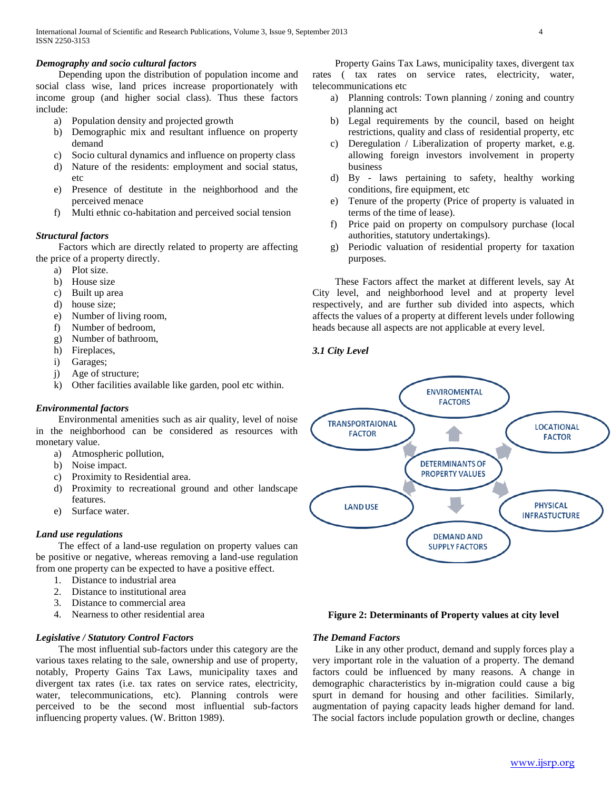# *Demography and socio cultural factors*

 Depending upon the distribution of population income and social class wise, land prices increase proportionately with income group (and higher social class). Thus these factors include:

- a) Population density and projected growth
- b) Demographic mix and resultant influence on property demand
- c) Socio cultural dynamics and influence on property class
- d) Nature of the residents: employment and social status, etc
- e) Presence of destitute in the neighborhood and the perceived menace
- f) Multi ethnic co-habitation and perceived social tension

# *Structural factors*

 Factors which are directly related to property are affecting the price of a property directly.

- a) Plot size.
- b) House size
- c) Built up area
- d) house size;
- e) Number of living room,
- f) Number of bedroom,
- g) Number of bathroom,
- h) Fireplaces,
- i) Garages;
- j) Age of structure;
- k) Other facilities available like garden, pool etc within.

# *Environmental factors*

 Environmental amenities such as air quality, level of noise in the neighborhood can be considered as resources with monetary value.

- a) Atmospheric pollution,
- b) Noise impact.
- c) Proximity to Residential area.
- d) Proximity to recreational ground and other landscape features.
- e) Surface water.

# *Land use regulations*

 The effect of a land-use regulation on property values can be positive or negative, whereas removing a land-use regulation from one property can be expected to have a positive effect.

- 1. Distance to industrial area
- 2. Distance to institutional area
- 3. Distance to commercial area
- 4. Nearness to other residential area

# *Legislative / Statutory Control Factors*

 The most influential sub-factors under this category are the various taxes relating to the sale, ownership and use of property, notably, Property Gains Tax Laws, municipality taxes and divergent tax rates (i.e. tax rates on service rates, electricity, water, telecommunications, etc). Planning controls were perceived to be the second most influential sub-factors influencing property values. (W. Britton 1989).

 Property Gains Tax Laws, municipality taxes, divergent tax rates ( tax rates on service rates, electricity, water, telecommunications etc

- a) Planning controls: Town planning / zoning and country planning act
- b) Legal requirements by the council, based on height restrictions, quality and class of residential property, etc
- c) Deregulation / Liberalization of property market, e.g. allowing foreign investors involvement in property business
- d) By laws pertaining to safety, healthy working conditions, fire equipment, etc
- e) Tenure of the property (Price of property is valuated in terms of the time of lease).
- f) Price paid on property on compulsory purchase (local authorities, statutory undertakings).
- g) Periodic valuation of residential property for taxation purposes.

 These Factors affect the market at different levels, say At City level, and neighborhood level and at property level respectively, and are further sub divided into aspects, which affects the values of a property at different levels under following heads because all aspects are not applicable at every level.

# *3.1 City Level*



## **Figure 2: Determinants of Property values at city level**

## *The Demand Factors*

 Like in any other product, demand and supply forces play a very important role in the valuation of a property. The demand factors could be influenced by many reasons. A change in demographic characteristics by in-migration could cause a big spurt in demand for housing and other facilities. Similarly, augmentation of paying capacity leads higher demand for land. The social factors include population growth or decline, changes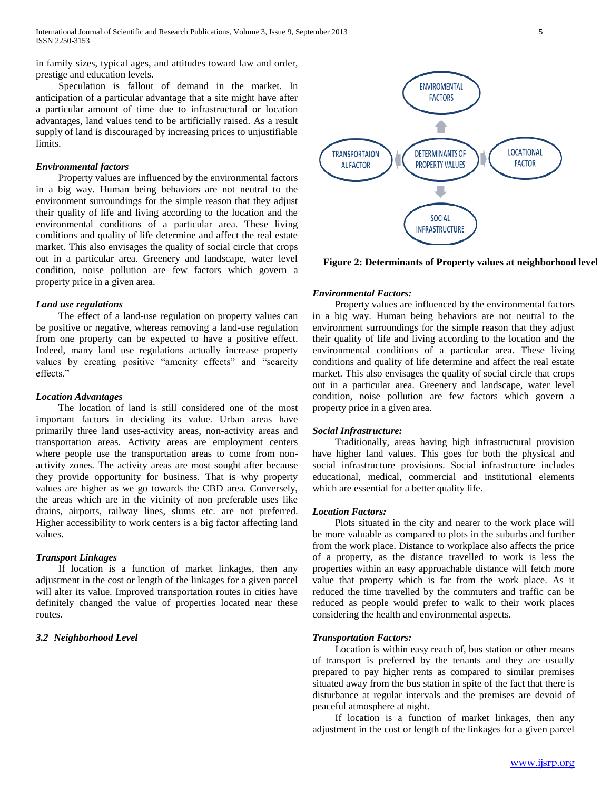in family sizes, typical ages, and attitudes toward law and order, prestige and education levels.

 Speculation is fallout of demand in the market. In anticipation of a particular advantage that a site might have after a particular amount of time due to infrastructural or location advantages, land values tend to be artificially raised. As a result supply of land is discouraged by increasing prices to unjustifiable limits.

# *Environmental factors*

 Property values are influenced by the environmental factors in a big way. Human being behaviors are not neutral to the environment surroundings for the simple reason that they adjust their quality of life and living according to the location and the environmental conditions of a particular area. These living conditions and quality of life determine and affect the real estate market. This also envisages the quality of social circle that crops out in a particular area. Greenery and landscape, water level condition, noise pollution are few factors which govern a property price in a given area.

#### *Land use regulations*

 The effect of a land-use regulation on property values can be positive or negative, whereas removing a land-use regulation from one property can be expected to have a positive effect. Indeed, many land use regulations actually increase property values by creating positive "amenity effects" and "scarcity effects."

#### *Location Advantages*

 The location of land is still considered one of the most important factors in deciding its value. Urban areas have primarily three land uses-activity areas, non-activity areas and transportation areas. Activity areas are employment centers where people use the transportation areas to come from nonactivity zones. The activity areas are most sought after because they provide opportunity for business. That is why property values are higher as we go towards the CBD area. Conversely, the areas which are in the vicinity of non preferable uses like drains, airports, railway lines, slums etc. are not preferred. Higher accessibility to work centers is a big factor affecting land values.

# *Transport Linkages*

 If location is a function of market linkages, then any adjustment in the cost or length of the linkages for a given parcel will alter its value. Improved transportation routes in cities have definitely changed the value of properties located near these routes.

# *3.2 Neighborhood Level*



**Figure 2: Determinants of Property values at neighborhood level**

#### *Environmental Factors:*

 Property values are influenced by the environmental factors in a big way. Human being behaviors are not neutral to the environment surroundings for the simple reason that they adjust their quality of life and living according to the location and the environmental conditions of a particular area. These living conditions and quality of life determine and affect the real estate market. This also envisages the quality of social circle that crops out in a particular area. Greenery and landscape, water level condition, noise pollution are few factors which govern a property price in a given area.

#### *Social Infrastructure:*

 Traditionally, areas having high infrastructural provision have higher land values. This goes for both the physical and social infrastructure provisions. Social infrastructure includes educational, medical, commercial and institutional elements which are essential for a better quality life.

#### *Location Factors:*

 Plots situated in the city and nearer to the work place will be more valuable as compared to plots in the suburbs and further from the work place. Distance to workplace also affects the price of a property, as the distance travelled to work is less the properties within an easy approachable distance will fetch more value that property which is far from the work place. As it reduced the time travelled by the commuters and traffic can be reduced as people would prefer to walk to their work places considering the health and environmental aspects.

## *Transportation Factors:*

 Location is within easy reach of, bus station or other means of transport is preferred by the tenants and they are usually prepared to pay higher rents as compared to similar premises situated away from the bus station in spite of the fact that there is disturbance at regular intervals and the premises are devoid of peaceful atmosphere at night.

 If location is a function of market linkages, then any adjustment in the cost or length of the linkages for a given parcel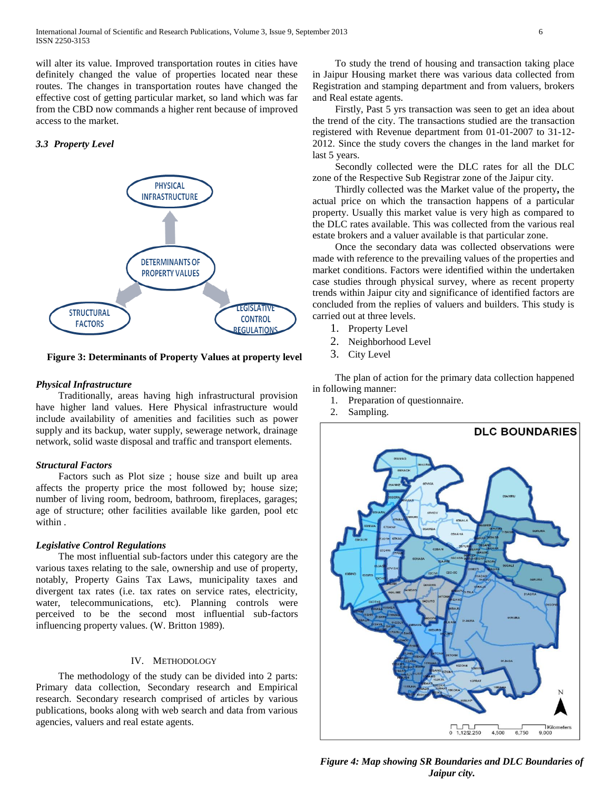will alter its value. Improved transportation routes in cities have definitely changed the value of properties located near these routes. The changes in transportation routes have changed the effective cost of getting particular market, so land which was far from the CBD now commands a higher rent because of improved access to the market.

# *3.3 Property Level*



**Figure 3: Determinants of Property Values at property level**

# *Physical Infrastructure*

 Traditionally, areas having high infrastructural provision have higher land values. Here Physical infrastructure would include availability of amenities and facilities such as power supply and its backup, water supply, sewerage network, drainage network, solid waste disposal and traffic and transport elements.

## *Structural Factors*

 Factors such as Plot size ; house size and built up area affects the property price the most followed by; house size; number of living room, bedroom, bathroom, fireplaces, garages; age of structure; other facilities available like garden, pool etc within .

# *Legislative Control Regulations*

 The most influential sub-factors under this category are the various taxes relating to the sale, ownership and use of property, notably, Property Gains Tax Laws, municipality taxes and divergent tax rates (i.e. tax rates on service rates, electricity, water, telecommunications, etc). Planning controls were perceived to be the second most influential sub-factors influencing property values. (W. Britton 1989).

# IV. METHODOLOGY

 The methodology of the study can be divided into 2 parts: Primary data collection, Secondary research and Empirical research. Secondary research comprised of articles by various publications, books along with web search and data from various agencies, valuers and real estate agents.

 To study the trend of housing and transaction taking place in Jaipur Housing market there was various data collected from Registration and stamping department and from valuers, brokers and Real estate agents.

 Firstly, Past 5 yrs transaction was seen to get an idea about the trend of the city. The transactions studied are the transaction registered with Revenue department from 01-01-2007 to 31-12- 2012. Since the study covers the changes in the land market for last 5 years.

 Secondly collected were the DLC rates for all the DLC zone of the Respective Sub Registrar zone of the Jaipur city.

 Thirdly collected was the Market value of the property**,** the actual price on which the transaction happens of a particular property. Usually this market value is very high as compared to the DLC rates available. This was collected from the various real estate brokers and a valuer available is that particular zone.

 Once the secondary data was collected observations were made with reference to the prevailing values of the properties and market conditions. Factors were identified within the undertaken case studies through physical survey, where as recent property trends within Jaipur city and significance of identified factors are concluded from the replies of valuers and builders. This study is carried out at three levels.

- 1. Property Level
- 2. Neighborhood Level
- 3. City Level

 The plan of action for the primary data collection happened in following manner:

- 1. Preparation of questionnaire.
- 2. Sampling.



**Figure 4: Map showing SR Boundaries and DLC Boundaries of** *Jaipur city.*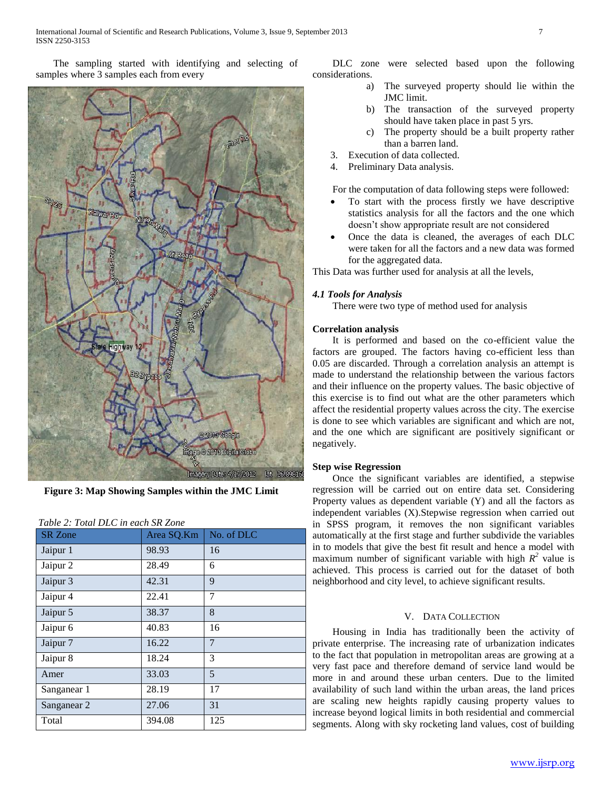The sampling started with identifying and selecting of samples where 3 samples each from every



**Figure 3: Map Showing Samples within the JMC Limit**

| <b>SR</b> Zone         | Area SQ.Km | No. of DLC     |
|------------------------|------------|----------------|
| Jaipur 1               | 98.93      | 16             |
| Jaipur 2               | 28.49      | 6              |
| Jaipur 3               | 42.31      | 9              |
| Jaipur 4               | 22.41      | 7              |
| Jaipur 5               | 38.37      | 8              |
| Jaipur 6               | 40.83      | 16             |
| Jaipur 7               | 16.22      | $\overline{7}$ |
| Jaipur 8               | 18.24      | 3              |
| Amer                   | 33.03      | 5              |
| Sanganear 1            | 28.19      | 17             |
| Sanganear <sub>2</sub> | 27.06      | 31             |
| Total                  | 394.08     | 125            |

*Table 2: Total DLC in each SR Zone*

 DLC zone were selected based upon the following considerations.

- The surveyed property should lie within the JMC limit.
- b) The transaction of the surveyed property should have taken place in past 5 yrs.
- c) The property should be a built property rather than a barren land.
- 3. Execution of data collected.
- 4. Preliminary Data analysis.

For the computation of data following steps were followed:

- To start with the process firstly we have descriptive statistics analysis for all the factors and the one which doesn't show appropriate result are not considered
- Once the data is cleaned, the averages of each DLC were taken for all the factors and a new data was formed for the aggregated data.

This Data was further used for analysis at all the levels,

# *4.1 Tools for Analysis*

There were two type of method used for analysis

# **Correlation analysis**

 It is performed and based on the co-efficient value the factors are grouped. The factors having co-efficient less than 0.05 are discarded. Through a correlation analysis an attempt is made to understand the relationship between the various factors and their influence on the property values. The basic objective of this exercise is to find out what are the other parameters which affect the residential property values across the city. The exercise is done to see which variables are significant and which are not, and the one which are significant are positively significant or negatively.

# **Step wise Regression**

 Once the significant variables are identified, a stepwise regression will be carried out on entire data set. Considering Property values as dependent variable (Y) and all the factors as independent variables (X).Stepwise regression when carried out in SPSS program, it removes the non significant variables automatically at the first stage and further subdivide the variables in to models that give the best fit result and hence a model with maximum number of significant variable with high  $R^2$  value is achieved. This process is carried out for the dataset of both neighborhood and city level, to achieve significant results.

## V. DATA COLLECTION

 Housing in India has traditionally been the activity of private enterprise. The increasing rate of urbanization indicates to the fact that population in metropolitan areas are growing at a very fast pace and therefore demand of service land would be more in and around these urban centers. Due to the limited availability of such land within the urban areas, the land prices are scaling new heights rapidly causing property values to increase beyond logical limits in both residential and commercial segments. Along with sky rocketing land values, cost of building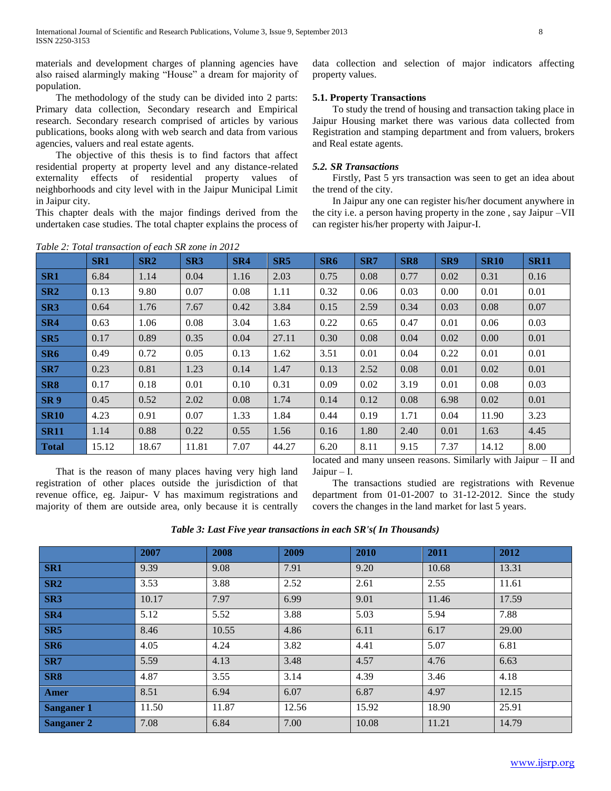materials and development charges of planning agencies have also raised alarmingly making "House" a dream for majority of population.

 The methodology of the study can be divided into 2 parts: Primary data collection, Secondary research and Empirical research. Secondary research comprised of articles by various publications, books along with web search and data from various agencies, valuers and real estate agents.

 The objective of this thesis is to find factors that affect residential property at property level and any distance-related externality effects of residential property values of neighborhoods and city level with in the Jaipur Municipal Limit in Jaipur city.

This chapter deals with the major findings derived from the undertaken case studies. The total chapter explains the process of data collection and selection of major indicators affecting property values.

# **5.1. Property Transactions**

 To study the trend of housing and transaction taking place in Jaipur Housing market there was various data collected from Registration and stamping department and from valuers, brokers and Real estate agents.

# *5.2. SR Transactions*

 Firstly, Past 5 yrs transaction was seen to get an idea about the trend of the city.

 In Jaipur any one can register his/her document anywhere in the city i.e. a person having property in the zone , say Jaipur –VII can register his/her property with Jaipur-I.

|                 | Table 2: Total transaction of each SR zone in 2012 |            |                 |      |       |                 |      |                 |      |             |             |
|-----------------|----------------------------------------------------|------------|-----------------|------|-------|-----------------|------|-----------------|------|-------------|-------------|
|                 | SR <sub>1</sub>                                    | <b>SR2</b> | SR <sub>3</sub> | SR4  | SR5   | SR <sub>6</sub> | SR7  | SR <sub>8</sub> | SR9  | <b>SR10</b> | <b>SR11</b> |
| SR1             | 6.84                                               | 1.14       | 0.04            | 1.16 | 2.03  | 0.75            | 0.08 | 0.77            | 0.02 | 0.31        | 0.16        |
| SR <sub>2</sub> | 0.13                                               | 9.80       | 0.07            | 0.08 | 1.11  | 0.32            | 0.06 | 0.03            | 0.00 | 0.01        | 0.01        |
| SR <sub>3</sub> | 0.64                                               | 1.76       | 7.67            | 0.42 | 3.84  | 0.15            | 2.59 | 0.34            | 0.03 | 0.08        | 0.07        |
| SR4             | 0.63                                               | 1.06       | 0.08            | 3.04 | 1.63  | 0.22            | 0.65 | 0.47            | 0.01 | 0.06        | 0.03        |
| SR5             | 0.17                                               | 0.89       | 0.35            | 0.04 | 27.11 | 0.30            | 0.08 | 0.04            | 0.02 | 0.00        | 0.01        |
| SR <sub>6</sub> | 0.49                                               | 0.72       | 0.05            | 0.13 | 1.62  | 3.51            | 0.01 | 0.04            | 0.22 | 0.01        | 0.01        |
| SR7             | 0.23                                               | 0.81       | 1.23            | 0.14 | 1.47  | 0.13            | 2.52 | 0.08            | 0.01 | 0.02        | 0.01        |
| SR <sub>8</sub> | 0.17                                               | 0.18       | 0.01            | 0.10 | 0.31  | 0.09            | 0.02 | 3.19            | 0.01 | 0.08        | 0.03        |
| SR <sub>9</sub> | 0.45                                               | 0.52       | 2.02            | 0.08 | 1.74  | 0.14            | 0.12 | 0.08            | 6.98 | 0.02        | 0.01        |
| <b>SR10</b>     | 4.23                                               | 0.91       | 0.07            | 1.33 | 1.84  | 0.44            | 0.19 | 1.71            | 0.04 | 11.90       | 3.23        |
| <b>SR11</b>     | 1.14                                               | 0.88       | 0.22            | 0.55 | 1.56  | 0.16            | 1.80 | 2.40            | 0.01 | 1.63        | 4.45        |
| <b>Total</b>    | 15.12                                              | 18.67      | 11.81           | 7.07 | 44.27 | 6.20            | 8.11 | 9.15            | 7.37 | 14.12       | 8.00        |

 That is the reason of many places having very high land registration of other places outside the jurisdiction of that revenue office, eg. Jaipur- V has maximum registrations and majority of them are outside area, only because it is centrally

located and many unseen reasons. Similarly with Jaipur – II and Jaipur –  $I$ .

 The transactions studied are registrations with Revenue department from 01-01-2007 to 31-12-2012. Since the study covers the changes in the land market for last 5 years.

*Table 3: Last Five year transactions in each SR's( In Thousands)*

|                   | 2007  | 2008  | 2009  | 2010  | 2011  | 2012  |
|-------------------|-------|-------|-------|-------|-------|-------|
| SR <sub>1</sub>   | 9.39  | 9.08  | 7.91  | 9.20  | 10.68 | 13.31 |
| SR <sub>2</sub>   | 3.53  | 3.88  | 2.52  | 2.61  | 2.55  | 11.61 |
| SR <sub>3</sub>   | 10.17 | 7.97  | 6.99  | 9.01  | 11.46 | 17.59 |
| SR4               | 5.12  | 5.52  | 3.88  | 5.03  | 5.94  | 7.88  |
| SR5               | 8.46  | 10.55 | 4.86  | 6.11  | 6.17  | 29.00 |
| SR <sub>6</sub>   | 4.05  | 4.24  | 3.82  | 4.41  | 5.07  | 6.81  |
| SR7               | 5.59  | 4.13  | 3.48  | 4.57  | 4.76  | 6.63  |
| SR <sub>8</sub>   | 4.87  | 3.55  | 3.14  | 4.39  | 3.46  | 4.18  |
| Amer              | 8.51  | 6.94  | 6.07  | 6.87  | 4.97  | 12.15 |
| <b>Sanganer 1</b> | 11.50 | 11.87 | 12.56 | 15.92 | 18.90 | 25.91 |
| <b>Sanganer 2</b> | 7.08  | 6.84  | 7.00  | 10.08 | 11.21 | 14.79 |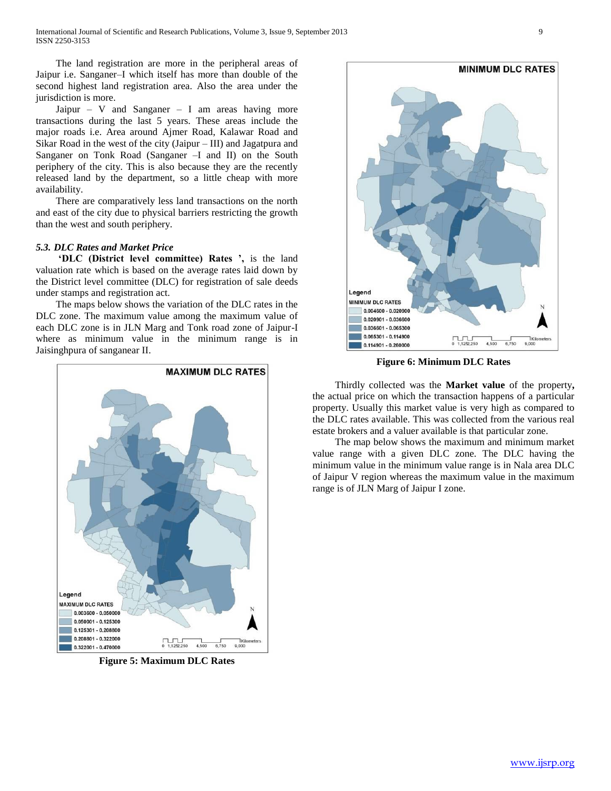The land registration are more in the peripheral areas of Jaipur i.e. Sanganer–I which itself has more than double of the second highest land registration area. Also the area under the jurisdiction is more.

Jaipur – V and Sanganer – I am areas having more transactions during the last 5 years. These areas include the major roads i.e. Area around Ajmer Road, Kalawar Road and Sikar Road in the west of the city (Jaipur – III) and Jagatpura and Sanganer on Tonk Road (Sanganer –I and II) on the South periphery of the city. This is also because they are the recently released land by the department, so a little cheap with more availability.

 There are comparatively less land transactions on the north and east of the city due to physical barriers restricting the growth than the west and south periphery.

# *5.3. DLC Rates and Market Price*

 **'DLC (District level committee) Rates ',** is the land valuation rate which is based on the average rates laid down by the District level committee (DLC) for registration of sale deeds under stamps and registration act.

 The maps below shows the variation of the DLC rates in the DLC zone. The maximum value among the maximum value of each DLC zone is in JLN Marg and Tonk road zone of Jaipur-I where as minimum value in the minimum range is in Jaisinghpura of sanganear II.



**Figure 5: Maximum DLC Rates**



**Figure 6: Minimum DLC Rates**

 Thirdly collected was the **Market value** of the property**,**  the actual price on which the transaction happens of a particular property. Usually this market value is very high as compared to the DLC rates available. This was collected from the various real estate brokers and a valuer available is that particular zone.

 The map below shows the maximum and minimum market value range with a given DLC zone. The DLC having the minimum value in the minimum value range is in Nala area DLC of Jaipur V region whereas the maximum value in the maximum range is of JLN Marg of Jaipur I zone.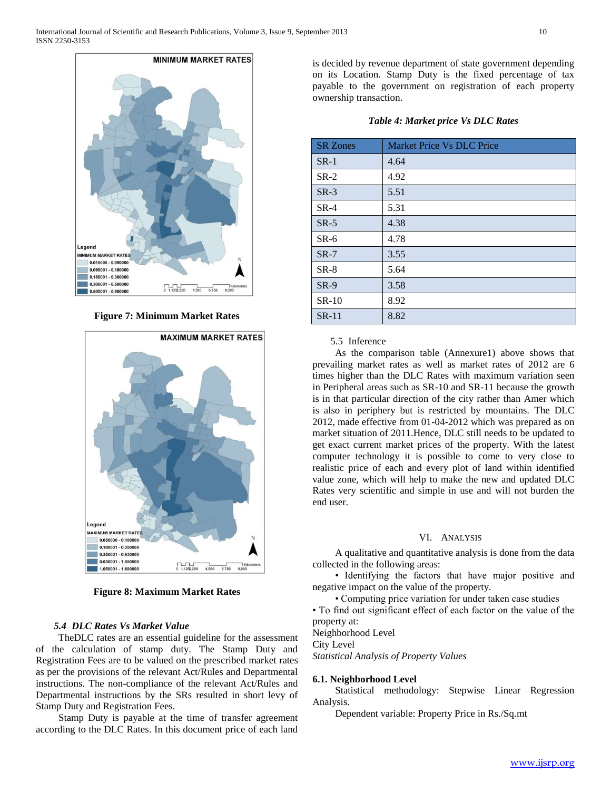

**Figure 7: Minimum Market Rates**



**Figure 8: Maximum Market Rates**

# *5.4 DLC Rates Vs Market Value*

 TheDLC rates are an essential guideline for the assessment of the calculation of stamp duty. The Stamp Duty and Registration Fees are to be valued on the prescribed market rates as per the provisions of the relevant Act/Rules and Departmental instructions. The non-compliance of the relevant Act/Rules and Departmental instructions by the SRs resulted in short levy of Stamp Duty and Registration Fees.

 Stamp Duty is payable at the time of transfer agreement according to the DLC Rates. In this document price of each land

is decided by revenue department of state government depending on its Location. Stamp Duty is the fixed percentage of tax payable to the government on registration of each property ownership transaction.

| <b>Table 4: Market price Vs DLC Rates</b> |  |  |  |  |
|-------------------------------------------|--|--|--|--|
|-------------------------------------------|--|--|--|--|

| <b>SR</b> Zones | Market Price Vs DLC Price |
|-----------------|---------------------------|
| $SR-1$          | 4.64                      |
| $SR-2$          | 4.92                      |
| $SR-3$          | 5.51                      |
| $SR-4$          | 5.31                      |
| $SR-5$          | 4.38                      |
| $SR-6$          | 4.78                      |
| $SR-7$          | 3.55                      |
| $SR-8$          | 5.64                      |
| $SR-9$          | 3.58                      |
| $SR-10$         | 8.92                      |
| $SR-11$         | 8.82                      |

#### 5.5 Inference

 As the comparison table (Annexure1) above shows that prevailing market rates as well as market rates of 2012 are 6 times higher than the DLC Rates with maximum variation seen in Peripheral areas such as SR-10 and SR-11 because the growth is in that particular direction of the city rather than Amer which is also in periphery but is restricted by mountains. The DLC 2012, made effective from 01-04-2012 which was prepared as on market situation of 2011.Hence, DLC still needs to be updated to get exact current market prices of the property. With the latest computer technology it is possible to come to very close to realistic price of each and every plot of land within identified value zone, which will help to make the new and updated DLC Rates very scientific and simple in use and will not burden the end user.

## VI. ANALYSIS

 A qualitative and quantitative analysis is done from the data collected in the following areas:

 • Identifying the factors that have major positive and negative impact on the value of the property.

• Computing price variation for under taken case studies

• To find out significant effect of each factor on the value of the property at:

Neighborhood Level City Level

*Statistical Analysis of Property Values*

#### **6.1. Neighborhood Level**

 Statistical methodology: Stepwise Linear Regression Analysis.

Dependent variable: Property Price in Rs./Sq.mt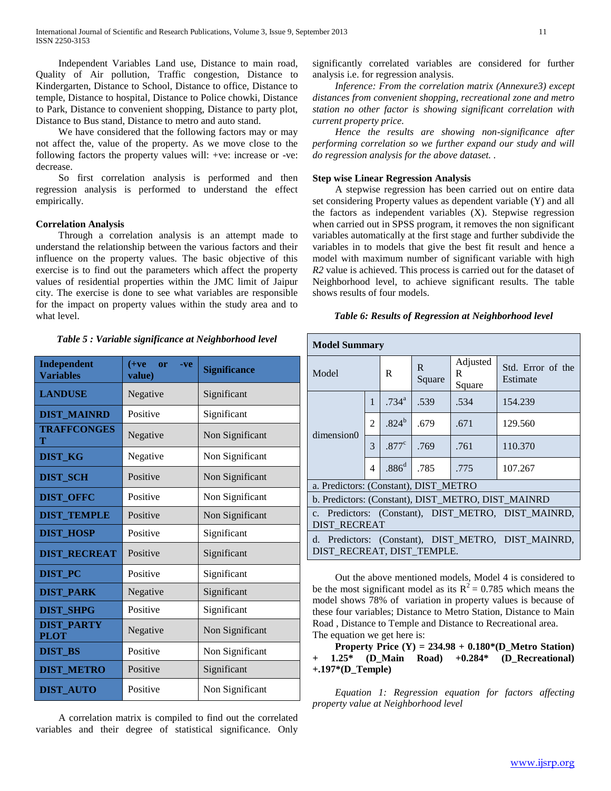Independent Variables Land use, Distance to main road, Quality of Air pollution, Traffic congestion, Distance to Kindergarten, Distance to School, Distance to office, Distance to temple, Distance to hospital, Distance to Police chowki, Distance to Park, Distance to convenient shopping, Distance to party plot, Distance to Bus stand, Distance to metro and auto stand.

 We have considered that the following factors may or may not affect the, value of the property. As we move close to the following factors the property values will: +ve: increase or -ve: decrease.

 So first correlation analysis is performed and then regression analysis is performed to understand the effect empirically.

# **Correlation Analysis**

 Through a correlation analysis is an attempt made to understand the relationship between the various factors and their influence on the property values. The basic objective of this exercise is to find out the parameters which affect the property values of residential properties within the JMC limit of Jaipur city. The exercise is done to see what variables are responsible for the impact on property values within the study area and to what level.

## *Table 5 : Variable significance at Neighborhood level*

| Independent<br><b>Variables</b>  | $(+ve$<br>or<br>-ve<br>value) | <b>Significance</b> |  |  |
|----------------------------------|-------------------------------|---------------------|--|--|
| <b>LANDUSE</b>                   | Negative                      | Significant         |  |  |
| <b>DIST_MAINRD</b>               | Positive                      | Significant         |  |  |
| <b>TRAFFCONGES</b><br>т          | Negative                      | Non Significant     |  |  |
| <b>DIST KG</b>                   | Negative                      | Non Significant     |  |  |
| <b>DIST_SCH</b>                  | Positive                      | Non Significant     |  |  |
| <b>DIST OFFC</b>                 | Positive                      | Non Significant     |  |  |
| <b>DIST_TEMPLE</b>               | Positive                      | Non Significant     |  |  |
| <b>DIST_HOSP</b>                 | Positive                      | Significant         |  |  |
| <b>DIST RECREAT</b>              | Positive                      | Significant         |  |  |
| <b>DIST PC</b>                   | Positive                      | Significant         |  |  |
| <b>DIST_PARK</b>                 | Negative                      | Significant         |  |  |
| <b>DIST SHPG</b>                 | Positive                      | Significant         |  |  |
| <b>DIST PARTY</b><br><b>PLOT</b> | Negative                      | Non Significant     |  |  |
| <b>DIST BS</b>                   | Positive                      | Non Significant     |  |  |
| <b>DIST_METRO</b>                | Positive                      | Significant         |  |  |
| <b>DIST_AUTO</b>                 | Positive                      | Non Significant     |  |  |

 A correlation matrix is compiled to find out the correlated variables and their degree of statistical significance. Only

significantly correlated variables are considered for further analysis i.e. for regression analysis.

 *Inference: From the correlation matrix (Annexure3) except distances from convenient shopping, recreational zone and metro station no other factor is showing significant correlation with current property price.*

 *Hence the results are showing non-significance after performing correlation so we further expand our study and will do regression analysis for the above dataset. .*

# **Step wise Linear Regression Analysis**

 A stepwise regression has been carried out on entire data set considering Property values as dependent variable (Y) and all the factors as independent variables (X). Stepwise regression when carried out in SPSS program, it removes the non significant variables automatically at the first stage and further subdivide the variables in to models that give the best fit result and hence a model with maximum number of significant variable with high *R2* value is achieved. This process is carried out for the dataset of Neighborhood level, to achieve significant results. The table shows results of four models.

# *Table 6: Results of Regression at Neighborhood level*

| <b>Model Summary</b>                                                       |                |                     |              |                         |                                                     |
|----------------------------------------------------------------------------|----------------|---------------------|--------------|-------------------------|-----------------------------------------------------|
| Model                                                                      |                | R                   | R.<br>Square | Adjusted<br>R<br>Square | Std. Error of the<br>Estimate                       |
|                                                                            | $\mathbf{1}$   | $.734$ <sup>a</sup> | .539         | .534                    | 154.239                                             |
| dimension0                                                                 | $\overline{2}$ | $.824^{b}$          | .679         | .671                    | 129.560                                             |
|                                                                            | 3              | .877 <sup>c</sup>   | .769         | .761                    | 110.370                                             |
|                                                                            | $\overline{4}$ | .886 <sup>d</sup>   | .785         | .775                    | 107.267                                             |
| a. Predictors: (Constant), DIST METRO                                      |                |                     |              |                         |                                                     |
|                                                                            |                |                     |              |                         | b. Predictors: (Constant), DIST_METRO, DIST_MAINRD  |
| c. Predictors: (Constant), DIST_METRO, DIST_MAINRD,<br><b>DIST RECREAT</b> |                |                     |              |                         |                                                     |
| DIST RECREAT, DIST TEMPLE.                                                 |                |                     |              |                         | d. Predictors: (Constant), DIST METRO, DIST MAINRD, |

 Out the above mentioned models, Model 4 is considered to be the most significant model as its  $R^2 = 0.785$  which means the model shows 78% of variation in property values is because of these four variables; Distance to Metro Station, Distance to Main Road , Distance to Temple and Distance to Recreational area. The equation we get here is:

 **Property Price (Y) = 234.98 + 0.180\*(D\_Metro Station) + 1.25\* (D\_Main Road) +0.284\* (D\_Recreational) +.197\*(D\_Temple)**

 *Equation 1: Regression equation for factors affecting property value at Neighborhood level*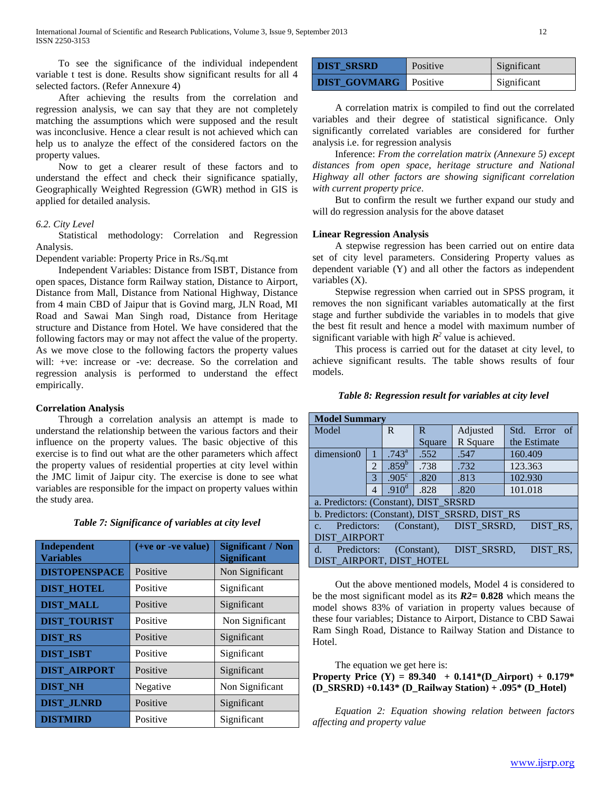To see the significance of the individual independent variable t test is done. Results show significant results for all 4 selected factors. (Refer Annexure 4)

 After achieving the results from the correlation and regression analysis, we can say that they are not completely matching the assumptions which were supposed and the result was inconclusive. Hence a clear result is not achieved which can help us to analyze the effect of the considered factors on the property values.

 Now to get a clearer result of these factors and to understand the effect and check their significance spatially, Geographically Weighted Regression (GWR) method in GIS is applied for detailed analysis.

# *6.2. City Level*

 Statistical methodology: Correlation and Regression Analysis.

Dependent variable: Property Price in Rs./Sq.mt

 Independent Variables: Distance from ISBT, Distance from open spaces, Distance form Railway station, Distance to Airport, Distance from Mall, Distance from National Highway, Distance from 4 main CBD of Jaipur that is Govind marg, JLN Road, MI Road and Sawai Man Singh road, Distance from Heritage structure and Distance from Hotel. We have considered that the following factors may or may not affect the value of the property. As we move close to the following factors the property values will: +ve: increase or -ve: decrease. So the correlation and regression analysis is performed to understand the effect empirically.

## **Correlation Analysis**

 Through a correlation analysis an attempt is made to understand the relationship between the various factors and their influence on the property values. The basic objective of this exercise is to find out what are the other parameters which affect the property values of residential properties at city level within the JMC limit of Jaipur city. The exercise is done to see what variables are responsible for the impact on property values within the study area.

| Independent<br><b>Variables</b> | $(+ve or -ve value)$ | <b>Significant / Non</b><br><b>Significant</b> |
|---------------------------------|----------------------|------------------------------------------------|
| <b>DISTOPENSPACE</b>            | Positive             | Non Significant                                |
| <b>DIST HOTEL</b>               | Positive             | Significant                                    |
| <b>DIST_MALL</b>                | Positive             | Significant                                    |
| <b>DIST TOURIST</b>             | Positive             | Non Significant                                |
| <b>DIST RS</b>                  | Positive             | Significant                                    |
| <b>DIST_ISBT</b>                | Positive             | Significant                                    |
| <b>DIST AIRPORT</b>             | Positive             | Significant                                    |
| <b>DIST NH</b>                  | Negative             | Non Significant                                |
| <b>DIST_JLNRD</b>               | Positive             | Significant                                    |
| <b>DISTMIRD</b>                 | Positive             | Significant                                    |

| Table 7: Significance of variables at city level |  |  |  |
|--------------------------------------------------|--|--|--|
|                                                  |  |  |  |

| <b>DIST SRSRD</b>   | Positive        | Significant |
|---------------------|-----------------|-------------|
| <b>DIST GOVMARG</b> | <b>Positive</b> | Significant |

 A correlation matrix is compiled to find out the correlated variables and their degree of statistical significance. Only significantly correlated variables are considered for further analysis i.e. for regression analysis

 Inference: *From the correlation matrix (Annexure 5) except distances from open space, heritage structure and National Highway all other factors are showing significant correlation with current property price*.

 But to confirm the result we further expand our study and will do regression analysis for the above dataset

## **Linear Regression Analysis**

 A stepwise regression has been carried out on entire data set of city level parameters. Considering Property values as dependent variable (Y) and all other the factors as independent variables (X).

 Stepwise regression when carried out in SPSS program, it removes the non significant variables automatically at the first stage and further subdivide the variables in to models that give the best fit result and hence a model with maximum number of significant variable with high  $R^2$  value is achieved.

 This process is carried out for the dataset at city level, to achieve significant results. The table shows results of four models.

## *Table 8: Regression result for variables at city level*

| <b>Model Summary</b>                                          |                |                   |        |                         |                  |
|---------------------------------------------------------------|----------------|-------------------|--------|-------------------------|------------------|
| Model                                                         |                | R                 | R      | Adjusted                | Std. Error<br>of |
|                                                               |                |                   | Square | R Square                | the Estimate     |
| dimension0                                                    |                | $.743^{\circ}$    | .552   | .547                    | 160.409          |
|                                                               | $\mathfrak{D}$ | $.859^{b}$        | .738   | .732                    | 123.363          |
|                                                               | 3              | $.905^{\circ}$    | .820   | .813                    | 102.930          |
|                                                               | 4              | .910 <sup>d</sup> | .828   | .820                    | 101.018          |
| a. Predictors: (Constant), DIST_SRSRD                         |                |                   |        |                         |                  |
| b. Predictors: (Constant), DIST SRSRD, DIST RS                |                |                   |        |                         |                  |
| Predictors:<br>C <sub>1</sub>                                 |                |                   |        | (Constant), DIST SRSRD, | DIST_RS,         |
| <b>DIST AIRPORT</b>                                           |                |                   |        |                         |                  |
| DIST RS.<br>DIST SRSRD,<br>Predictors: (Constant),<br>$d_{-}$ |                |                   |        |                         |                  |
| DIST_AIRPORT, DIST_HOTEL                                      |                |                   |        |                         |                  |

 Out the above mentioned models, Model 4 is considered to be the most significant model as its *R2***= 0.828** which means the model shows 83% of variation in property values because of these four variables; Distance to Airport, Distance to CBD Sawai Ram Singh Road, Distance to Railway Station and Distance to Hotel.

The equation we get here is:

**Property Price (Y) = 89.340 + 0.141\*(D\_Airport) + 0.179\* (D\_SRSRD) +0.143\* (D\_Railway Station) + .095\* (D\_Hotel)**

 *Equation 2: Equation showing relation between factors affecting and property value*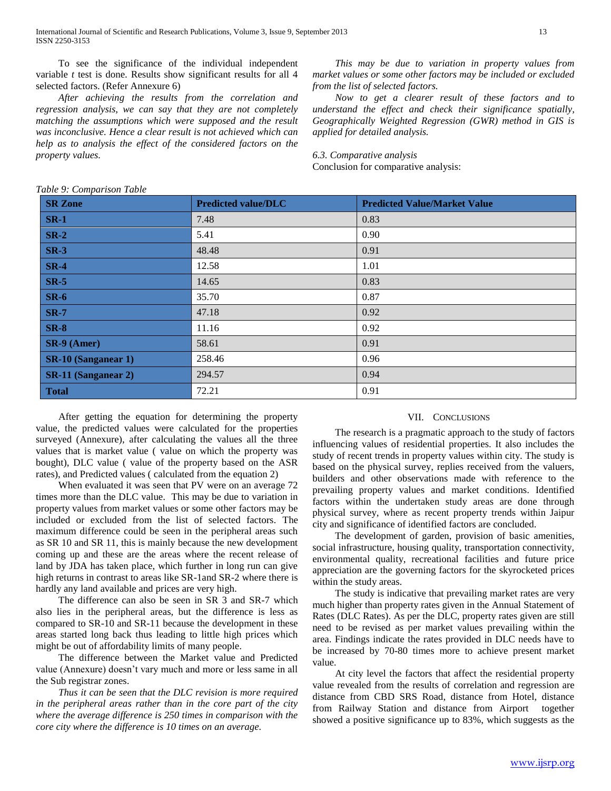International Journal of Scientific and Research Publications, Volume 3, Issue 9, September 2013 13 ISSN 2250-3153

 To see the significance of the individual independent variable *t* test is done. Results show significant results for all 4 selected factors. (Refer Annexure 6)

 *After achieving the results from the correlation and regression analysis, we can say that they are not completely matching the assumptions which were supposed and the result was inconclusive. Hence a clear result is not achieved which can help as to analysis the effect of the considered factors on the property values.*

 *This may be due to variation in property values from market values or some other factors may be included or excluded from the list of selected factors.*

 *Now to get a clearer result of these factors and to understand the effect and check their significance spatially, Geographically Weighted Regression (GWR) method in GIS is applied for detailed analysis.*

*6.3. Comparative analysis*

Conclusion for comparative analysis:

*Table 9: Comparison Table*

| <b>SR Zone</b>             | <b>Predicted value/DLC</b> | <b>Predicted Value/Market Value</b> |
|----------------------------|----------------------------|-------------------------------------|
| $SR-1$                     | 7.48                       | 0.83                                |
| $SR-2$                     | 5.41                       | 0.90                                |
| $SR-3$                     | 48.48                      | 0.91                                |
| $SR-4$                     | 12.58                      | 1.01                                |
| $SR-5$                     | 14.65                      | 0.83                                |
| $SR-6$                     | 35.70                      | 0.87                                |
| <b>SR-7</b>                | 47.18                      | 0.92                                |
| $SR-8$                     | 11.16                      | 0.92                                |
| $SR-9$ (Amer)              | 58.61                      | 0.91                                |
| <b>SR-10 (Sanganear 1)</b> | 258.46                     | 0.96                                |
| <b>SR-11 (Sanganear 2)</b> | 294.57                     | 0.94                                |
| <b>Total</b>               | 72.21                      | 0.91                                |

 After getting the equation for determining the property value, the predicted values were calculated for the properties surveyed (Annexure), after calculating the values all the three values that is market value ( value on which the property was bought), DLC value ( value of the property based on the ASR rates), and Predicted values ( calculated from the equation 2)

 When evaluated it was seen that PV were on an average 72 times more than the DLC value. This may be due to variation in property values from market values or some other factors may be included or excluded from the list of selected factors. The maximum difference could be seen in the peripheral areas such as SR 10 and SR 11, this is mainly because the new development coming up and these are the areas where the recent release of land by JDA has taken place, which further in long run can give high returns in contrast to areas like SR-1and SR-2 where there is hardly any land available and prices are very high.

 The difference can also be seen in SR 3 and SR-7 which also lies in the peripheral areas, but the difference is less as compared to SR-10 and SR-11 because the development in these areas started long back thus leading to little high prices which might be out of affordability limits of many people.

 The difference between the Market value and Predicted value (Annexure) doesn't vary much and more or less same in all the Sub registrar zones.

 *Thus it can be seen that the DLC revision is more required in the peripheral areas rather than in the core part of the city where the average difference is 250 times in comparison with the core city where the difference is 10 times on an average.*

### VII. CONCLUSIONS

 The research is a pragmatic approach to the study of factors influencing values of residential properties. It also includes the study of recent trends in property values within city. The study is based on the physical survey, replies received from the valuers, builders and other observations made with reference to the prevailing property values and market conditions. Identified factors within the undertaken study areas are done through physical survey, where as recent property trends within Jaipur city and significance of identified factors are concluded.

 The development of garden, provision of basic amenities, social infrastructure, housing quality, transportation connectivity, environmental quality, recreational facilities and future price appreciation are the governing factors for the skyrocketed prices within the study areas.

 The study is indicative that prevailing market rates are very much higher than property rates given in the Annual Statement of Rates (DLC Rates). As per the DLC, property rates given are still need to be revised as per market values prevailing within the area. Findings indicate the rates provided in DLC needs have to be increased by 70-80 times more to achieve present market value.

 At city level the factors that affect the residential property value revealed from the results of correlation and regression are distance from CBD SRS Road, distance from Hotel, distance from Railway Station and distance from Airport together showed a positive significance up to 83%, which suggests as the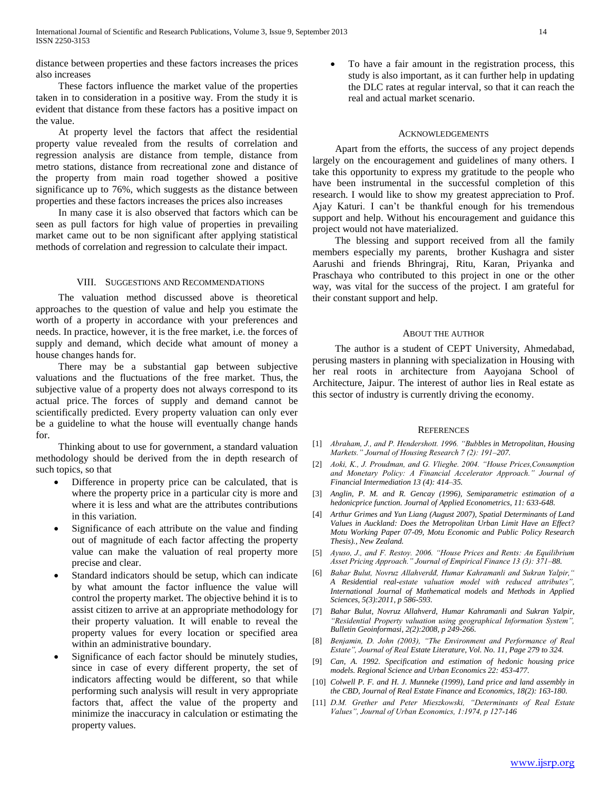distance between properties and these factors increases the prices also increases

 These factors influence the market value of the properties taken in to consideration in a positive way. From the study it is evident that distance from these factors has a positive impact on the value.

 At property level the factors that affect the residential property value revealed from the results of correlation and regression analysis are distance from temple, distance from metro stations, distance from recreational zone and distance of the property from main road together showed a positive significance up to 76%, which suggests as the distance between properties and these factors increases the prices also increases

 In many case it is also observed that factors which can be seen as pull factors for high value of properties in prevailing market came out to be non significant after applying statistical methods of correlation and regression to calculate their impact.

## VIII. SUGGESTIONS AND RECOMMENDATIONS

 The valuation method discussed above is theoretical approaches to the question of value and help you estimate the worth of a property in accordance with your preferences and needs. In practice, however, it is the free market, i.e. the forces of supply and demand, which decide what amount of money a house changes hands for.

 There may be a substantial gap between subjective valuations and the fluctuations of the free market. Thus, the subjective value of a property does not always correspond to its actual price. The forces of supply and demand cannot be scientifically predicted. Every property valuation can only ever be a guideline to what the house will eventually change hands for.

 Thinking about to use for government, a standard valuation methodology should be derived from the in depth research of such topics, so that

- Difference in property price can be calculated, that is where the property price in a particular city is more and where it is less and what are the attributes contributions in this variation.
- Significance of each attribute on the value and finding out of magnitude of each factor affecting the property value can make the valuation of real property more precise and clear.
- Standard indicators should be setup, which can indicate by what amount the factor influence the value will control the property market. The objective behind it is to assist citizen to arrive at an appropriate methodology for their property valuation. It will enable to reveal the property values for every location or specified area within an administrative boundary.
- Significance of each factor should be minutely studies, since in case of every different property, the set of indicators affecting would be different, so that while performing such analysis will result in very appropriate factors that, affect the value of the property and minimize the inaccuracy in calculation or estimating the property values.

 To have a fair amount in the registration process, this study is also important, as it can further help in updating the DLC rates at regular interval, so that it can reach the real and actual market scenario.

#### ACKNOWLEDGEMENTS

 Apart from the efforts, the success of any project depends largely on the encouragement and guidelines of many others. I take this opportunity to express my gratitude to the people who have been instrumental in the successful completion of this research. I would like to show my greatest appreciation to Prof. Ajay Katuri. I can't be thankful enough for his tremendous support and help. Without his encouragement and guidance this project would not have materialized.

 The blessing and support received from all the family members especially my parents, brother Kushagra and sister Aarushi and friends Bhringraj, Ritu, Karan, Priyanka and Praschaya who contributed to this project in one or the other way, was vital for the success of the project. I am grateful for their constant support and help.

# ABOUT THE AUTHOR

 The author is a student of CEPT University, Ahmedabad, perusing masters in planning with specialization in Housing with her real roots in architecture from Aayojana School of Architecture, Jaipur. The interest of author lies in Real estate as this sector of industry is currently driving the economy.

## **REFERENCES**

- [1] *Abraham, J., and P. Hendershott. 1996. "Bubbles in Metropolitan, Housing Markets." Journal of Housing Research 7 (2): 191–207.*
- [2] *Aoki, K., J. Proudman, and G. Vlieghe. 2004. "House Prices,Consumption and Monetary Policy: A Financial Accelerator Approach." Journal of Financial Intermediation 13 (4): 414–35.*
- [3] *Anglin, P. M. and R. Gencay (1996), Semiparametric estimation of a hedonicprice function. Journal of Applied Econometrics, 11: 633-648.*
- [4] *Arthur Grimes and Yun Liang (August 2007), Spatial Determinants of Land Values in Auckland: Does the Metropolitan Urban Limit Have an Effect? Motu Working Paper 07-09, Motu Economic and Public Policy Research Thesis)., New Zealand.*
- [5] *Ayuso, J., and F. Restoy. 2006. "House Prices and Rents: An Equilibrium Asset Pricing Approach." Journal of Empirical Finance 13 (3): 371–88.*
- [6] *Bahar Bulut, Novruz Allahverdđ, Humar Kahramanli and Sukran Yalpir," A Residential real-estate valuation model with reduced attributes", International Journal of Mathematical models and Methods in Applied Sciences, 5(3):2011, p 586-593.*
- [7] *Bahar Bulut, Novruz Allahverd, Humar Kahramanli and Sukran Yalpir, "Residential Property valuation using geographical Information System", Bulletin Geoinformasi, 2(2):2008, p 249-266.*
- [8] *Benjamin, D. John (2003), "The Environment and Performance of Real Estate", Journal of Real Estate Literature, Vol. No. 11, Page 279 to 324.*
- [9] *Can, A. 1992. Specification and estimation of hedonic housing price models. Regional Science and Urban Economics 22: 453-477.*
- [10] *Colwell P. F. and H. J. Munneke (1999), Land price and land assembly in the CBD, Journal of Real Estate Finance and Economics, 18(2): 163-180.*
- [11] *D.M. Grether and Peter Mieszkowski, "Determinants of Real Estate Values", Journal of Urban Economics, 1:1974, p 127-146*